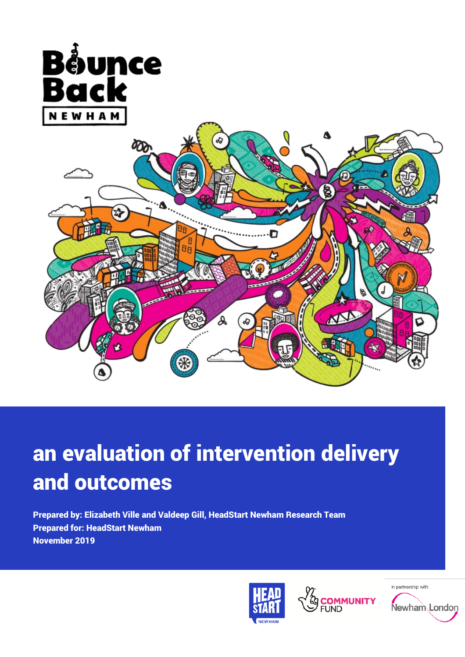

# an evaluation of intervention delivery and outcomes

Prepared by: Elizabeth Ville and Valdeep Gill, HeadStart Newham Research Team Prepared for: HeadStart Newham November 2019





in partnership with

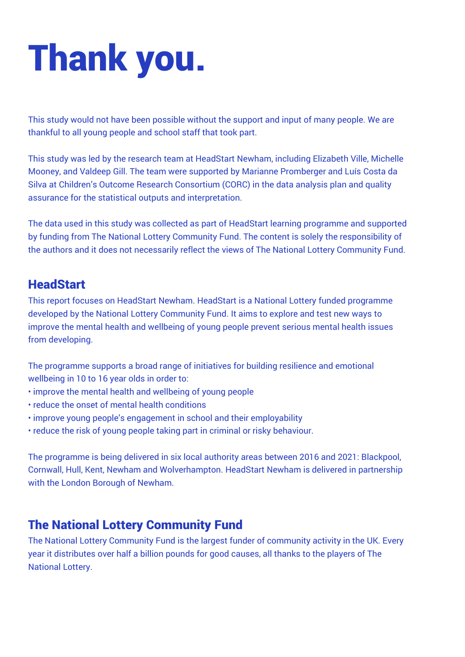# Thank you.

This study would not have been possible without the support and input of many people. We are thankful to all young people and school staff that took part.

This study was led by the research team at HeadStart Newham, including Elizabeth Ville, Michelle Mooney, and Valdeep Gill. The team were supported by Marianne Promberger and Luís Costa da Silva at Children's Outcome Research Consortium (CORC) in the data analysis plan and quality assurance for the statistical outputs and interpretation.

The data used in this study was collected as part of HeadStart learning programme and supported by funding from The National Lottery Community Fund. The content is solely the responsibility of the authors and it does not necessarily reflect the views of The National Lottery Community Fund.

## **HeadStart**

This report focuses on HeadStart Newham. HeadStart is a National Lottery funded programme developed by the National Lottery Community Fund. It aims to explore and test new ways to improve the mental health and wellbeing of young people prevent serious mental health issues from developing.

The programme supports a broad range of initiatives for building resilience and emotional wellbeing in 10 to 16 year olds in order to:

- improve the mental health and wellbeing of young people
- reduce the onset of mental health conditions
- improve young people's engagement in school and their employability
- reduce the risk of young people taking part in criminal or risky behaviour.

The programme is being delivered in six local authority areas between 2016 and 2021: Blackpool, Cornwall, Hull, Kent, Newham and Wolverhampton. HeadStart Newham is delivered in partnership with the London Borough of Newham.

## The National Lottery Community Fund

The National Lottery Community Fund is the largest funder of community activity in the UK. Every year it distributes over half a billion pounds for good causes, all thanks to the players of The National Lottery.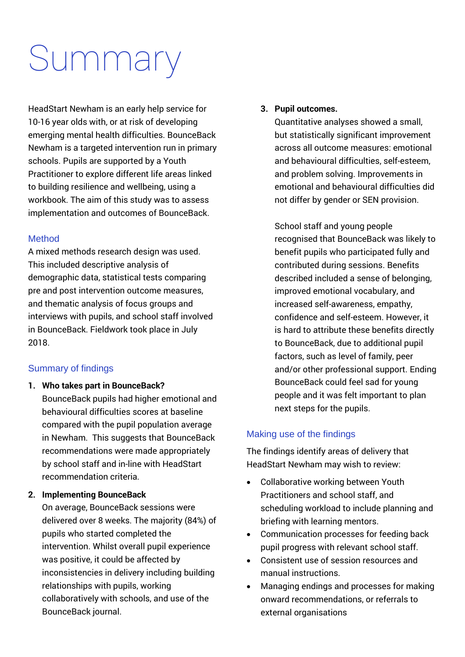# Summary

HeadStart Newham is an early help service for 10-16 year olds with, or at risk of developing emerging mental health difficulties. BounceBack Newham is a targeted intervention run in primary schools. Pupils are supported by a Youth Practitioner to explore different life areas linked to building resilience and wellbeing, using a workbook. The aim of this study was to assess implementation and outcomes of BounceBack.

#### Method

A mixed methods research design was used. This included descriptive analysis of demographic data, statistical tests comparing pre and post intervention outcome measures, and thematic analysis of focus groups and interviews with pupils, and school staff involved in BounceBack. Fieldwork took place in July 2018.

#### Summary of findings

**1. Who takes part in BounceBack?** BounceBack pupils had higher emotional and behavioural difficulties scores at baseline compared with the pupil population average in Newham. This suggests that BounceBack recommendations were made appropriately by school staff and in-line with HeadStart recommendation criteria.

#### **2. Implementing BounceBack**

On average, BounceBack sessions were delivered over 8 weeks. The majority (84%) of pupils who started completed the intervention. Whilst overall pupil experience was positive, it could be affected by inconsistencies in delivery including building relationships with pupils, working collaboratively with schools, and use of the BounceBack journal.

#### **3. Pupil outcomes.**

Quantitative analyses showed a small, but statistically significant improvement across all outcome measures: emotional and behavioural difficulties, self-esteem, and problem solving. Improvements in emotional and behavioural difficulties did not differ by gender or SEN provision.

School staff and young people recognised that BounceBack was likely to benefit pupils who participated fully and contributed during sessions. Benefits described included a sense of belonging, improved emotional vocabulary, and increased self-awareness, empathy, confidence and self-esteem. However, it is hard to attribute these benefits directly to BounceBack, due to additional pupil factors, such as level of family, peer and/or other professional support. Ending BounceBack could feel sad for young people and it was felt important to plan next steps for the pupils.

#### Making use of the findings

The findings identify areas of delivery that HeadStart Newham may wish to review:

- Collaborative working between Youth Practitioners and school staff, and scheduling workload to include planning and briefing with learning mentors.
- Communication processes for feeding back pupil progress with relevant school staff.
- Consistent use of session resources and manual instructions.
- Managing endings and processes for making onward recommendations, or referrals to external organisations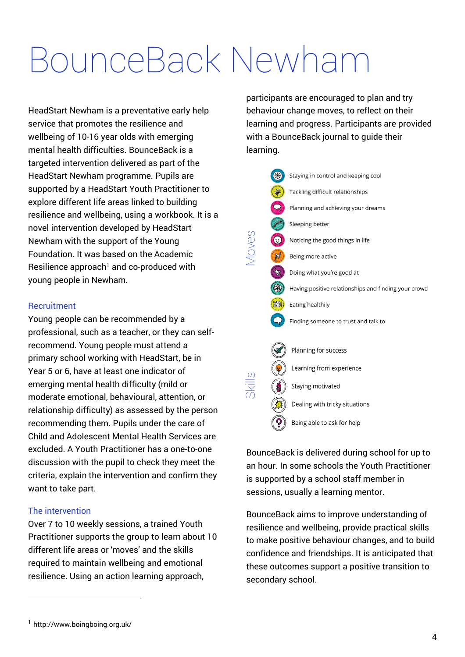# BounceBack Newham

HeadStart Newham is a preventative early help service that promotes the resilience and wellbeing of 10-16 year olds with emerging mental health difficulties. BounceBack is a targeted intervention delivered as part of the HeadStart Newham programme. Pupils are supported by a HeadStart Youth Practitioner to explore different life areas linked to building resilience and wellbeing, using a workbook. It is a novel intervention developed by HeadStart Newham with the support of the Young Foundation. It was based on the Academic Resilience approach<sup>1</sup> and co-produced with young people in Newham.

#### **Recruitment**

Young people can be recommended by a professional, such as a teacher, or they can selfrecommend. Young people must attend a primary school working with HeadStart, be in Year 5 or 6, have at least one indicator of emerging mental health difficulty (mild or moderate emotional, behavioural, attention, or relationship difficulty) as assessed by the person recommending them. Pupils under the care of Child and Adolescent Mental Health Services are excluded. A Youth Practitioner has a one-to-one discussion with the pupil to check they meet the criteria, explain the intervention and confirm they want to take part.

#### The intervention

l

Over 7 to 10 weekly sessions, a trained Youth Practitioner supports the group to learn about 10 different life areas or 'moves' and the skills required to maintain wellbeing and emotional resilience. Using an action learning approach,

participants are encouraged to plan and try behaviour change moves, to reflect on their learning and progress. Participants are provided with a BounceBack journal to guide their learning.



BounceBack is delivered during school for up to an hour. In some schools the Youth Practitioner is supported by a school staff member in sessions, usually a learning mentor.

BounceBack aims to improve understanding of resilience and wellbeing, provide practical skills to make positive behaviour changes, and to build confidence and friendships. It is anticipated that these outcomes support a positive transition to secondary school.

<sup>1</sup> http://www.boingboing.org.uk/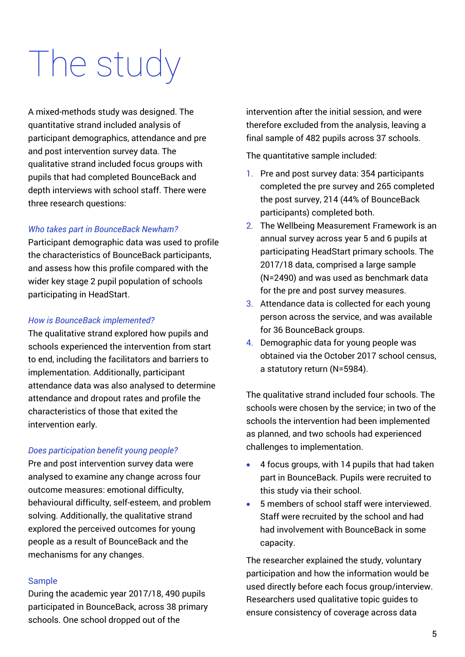# The study

A mixed-methods study was designed. The quantitative strand included analysis of participant demographics, attendance and pre and post intervention survey data. The qualitative strand included focus groups with pupils that had completed BounceBack and depth interviews with school staff. There were three research questions:

#### *Who takes part in BounceBack Newham?*

Participant demographic data was used to profile the characteristics of BounceBack participants, and assess how this profile compared with the wider key stage 2 pupil population of schools participating in HeadStart.

#### *How is BounceBack implemented?*

The qualitative strand explored how pupils and schools experienced the intervention from start to end, including the facilitators and barriers to implementation. Additionally, participant attendance data was also analysed to determine attendance and dropout rates and profile the characteristics of those that exited the intervention early.

#### *Does participation benefit young people?*

Pre and post intervention survey data were analysed to examine any change across four outcome measures: emotional difficulty, behavioural difficulty, self-esteem, and problem solving. Additionally, the qualitative strand explored the perceived outcomes for young people as a result of BounceBack and the mechanisms for any changes.

#### Sample

During the academic year 2017/18, 490 pupils participated in BounceBack, across 38 primary schools. One school dropped out of the

intervention after the initial session, and were therefore excluded from the analysis, leaving a final sample of 482 pupils across 37 schools.

The quantitative sample included:

- 1. Pre and post survey data: 354 participants completed the pre survey and 265 completed the post survey, 214 (44% of BounceBack participants) completed both.
- 2. The Wellbeing Measurement Framework is an annual survey across year 5 and 6 pupils at participating HeadStart primary schools. The 2017/18 data, comprised a large sample (N=2490) and was used as benchmark data for the pre and post survey measures.
- 3. Attendance data is collected for each young person across the service, and was available for 36 BounceBack groups.
- 4. Demographic data for young people was obtained via the October 2017 school census, a statutory return (N=5984).

The qualitative strand included four schools. The schools were chosen by the service; in two of the schools the intervention had been implemented as planned, and two schools had experienced challenges to implementation.

- 4 focus groups, with 14 pupils that had taken part in BounceBack. Pupils were recruited to this study via their school.
- 5 members of school staff were interviewed. Staff were recruited by the school and had had involvement with BounceBack in some capacity.

The researcher explained the study, voluntary participation and how the information would be used directly before each focus group/interview. Researchers used qualitative topic guides to ensure consistency of coverage across data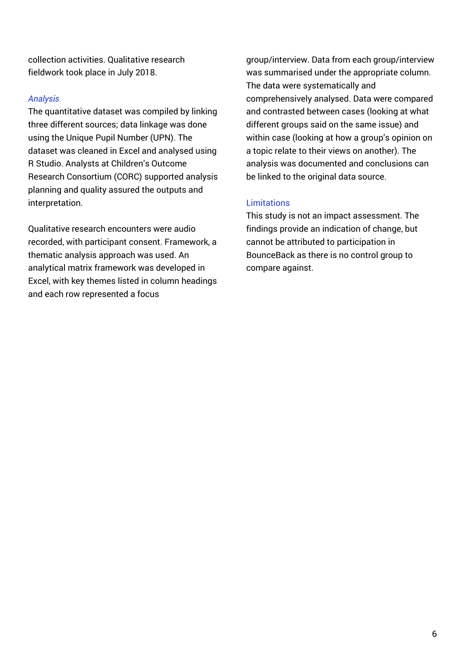collection activities. Qualitative research fieldwork took place in July 2018.

#### *Analysis*

The quantitative dataset was compiled by linking three different sources; data linkage was done using the Unique Pupil Number (UPN). The dataset was cleaned in Excel and analysed using R Studio. Analysts at Children's Outcome Research Consortium (CORC) supported analysis planning and quality assured the outputs and interpretation.

Qualitative research encounters were audio recorded, with participant consent. Framework, a thematic analysis approach was used. An analytical matrix framework was developed in Excel, with key themes listed in column headings and each row represented a focus

group/interview. Data from each group/interview was summarised under the appropriate column. The data were systematically and comprehensively analysed. Data were compared and contrasted between cases (looking at what different groups said on the same issue) and within case (looking at how a group's opinion on a topic relate to their views on another). The analysis was documented and conclusions can be linked to the original data source.

#### Limitations

This study is not an impact assessment. The findings provide an indication of change, but cannot be attributed to participation in BounceBack as there is no control group to compare against.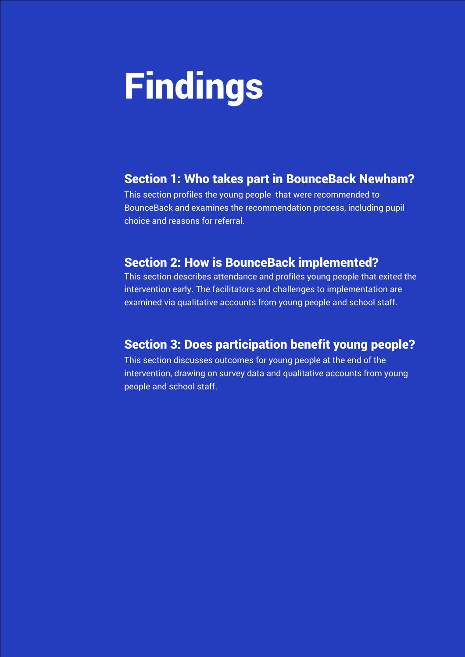# Findings

## Section 1: Who takes part in BounceBack Newham?

This section profiles the young people that were recommended to BounceBack and examines the recommendation process, including pupil choice and reasons for referral.

### Section 2: How is BounceBack implemented?

This section describes attendance and profiles young people that exited the intervention early. The facilitators and challenges to implementation are examined via qualitative accounts from young people and school staff.

## Section 3: Does participation benefit young people?

This section discusses outcomes for young people at the end of the intervention, drawing on survey data and qualitative accounts from young people and school staff.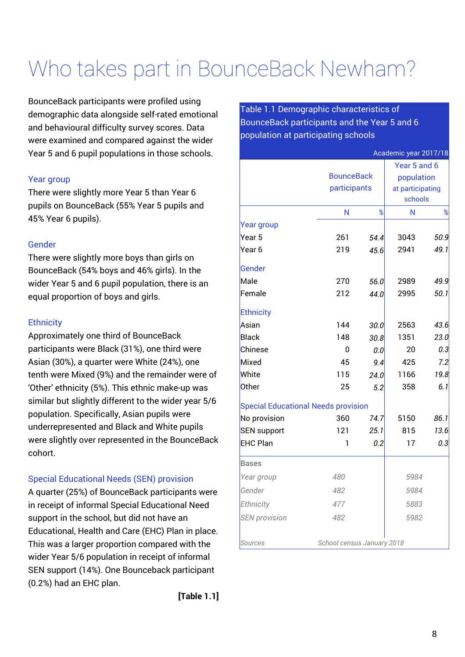# Who takes part in BounceBack Newham?

BounceBack participants were profiled using demographic data alongside self-rated emotional and behavioural difficulty survey scores. Data were examined and compared against the wider Year 5 and 6 pupil populations in those schools.

#### Year group

There were slightly more Year 5 than Year 6 pupils on BounceBack (55% Year 5 pupils and 45% Year 6 pupils).

#### Gender

There were slightly more boys than girls on BounceBack (54% boys and 46% girls). In the wider Year 5 and 6 pupil population, there is an equal proportion of boys and girls.

#### **Ethnicity**

Approximately one third of BounceBack participants were Black (31%), one third were Asian (30%), a quarter were White (24%), one tenth were Mixed (9%) and the remainder were of 'Other' ethnicity (5%). This ethnic make-up was similar but slightly different to the wider year 5/6 population. Specifically, Asian pupils were underrepresented and Black and White pupils were slightly over represented in the BounceBack cohort.

#### Special Educational Needs (SEN) provision

A quarter (25%) of BounceBack participants were in receipt of informal Special Educational Need support in the school, but did not have an Educational, Health and Care (EHC) Plan in place. This was a larger proportion compared with the wider Year 5/6 population in receipt of informal SEN support (14%). One Bounceback participant (0.2%) had an EHC plan.

Table 1.1 Demographic characteristics of BounceBack participants and the Year 5 and 6 population at participating schools

|                                            |                            |                   | Academic year 2017/18 |            |
|--------------------------------------------|----------------------------|-------------------|-----------------------|------------|
|                                            |                            |                   | Year 5 and 6          |            |
|                                            |                            | <b>BounceBack</b> |                       | population |
|                                            | participants               |                   | at participating      |            |
|                                            |                            |                   | schools               |            |
|                                            | N                          | %                 | Ν                     | %          |
| Year group                                 |                            |                   |                       |            |
| Year 5                                     | 261                        | 54.4              | 3043                  | 50.9       |
| Year 6                                     | 219                        | 45.6              | 2941                  | 49.1       |
| Gender                                     |                            |                   |                       |            |
| Male                                       | 270                        | 56.0              | 2989                  | 49.9       |
| Female                                     | 212                        | 44.0              | 2995                  | 50.1       |
| Ethnicity                                  |                            |                   |                       |            |
| Asian                                      | 144                        | 30.0              | 2563                  | 43.6       |
| Black                                      | 148                        | 30.8              | 1351                  | 23.O       |
| Chinese                                    | 0                          | 0.0               | 20                    | 0.3        |
| Mixed                                      | 45                         | 9.4               | 425                   | 7.2        |
| White                                      | 115                        | 24.0              | 1166                  | 19.8       |
| Other                                      | 25                         | 5.2               | 358                   | 6.1        |
| <b>Special Educational Needs provision</b> |                            |                   |                       |            |
| No provision                               | 360                        | 74.7              | 5150                  | 86.1       |
| SEN support                                | 121                        | 25.1              | 815                   | 13.6       |
| <b>EHC Plan</b>                            | 1                          | 0.2               | 17                    | 0.3        |
| <b>Bases</b>                               |                            |                   |                       |            |
| Year group                                 | 480                        |                   | 5984                  |            |
| Gender                                     | 482                        |                   | 5984                  |            |
| Ethnicity                                  | 477                        |                   | 5883                  |            |
| <b>SEN</b> provision                       | 482                        |                   | 5982                  |            |
| <b>Sources</b>                             | School census January 2018 |                   |                       |            |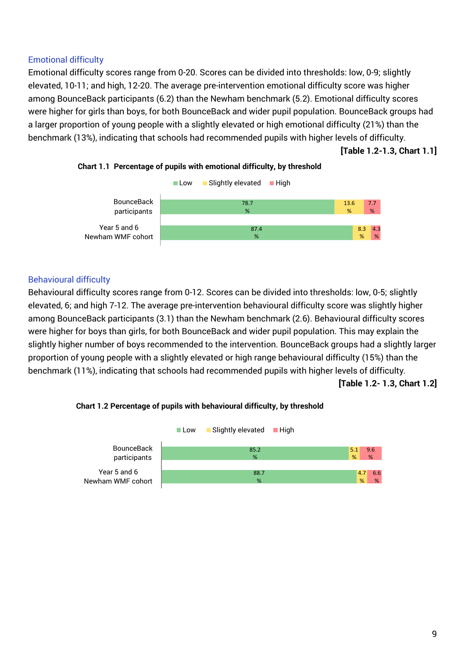#### Emotional difficulty

Emotional difficulty scores range from 0-20. Scores can be divided into thresholds: low, 0-9; slightly elevated, 10-11; and high, 12-20. The average pre-intervention emotional difficulty score was higher among BounceBack participants (6.2) than the Newham benchmark (5.2). Emotional difficulty scores were higher for girls than boys, for both BounceBack and wider pupil population. BounceBack groups had a larger proportion of young people with a slightly elevated or high emotional difficulty (21%) than the benchmark (13%), indicating that schools had recommended pupils with higher levels of difficulty.

**[Table 1.2-1.3, Chart 1.1]**



#### **Chart 1.1 Percentage of pupils with emotional difficulty, by threshold**

#### Behavioural difficulty

Behavioural difficulty scores range from 0-12. Scores can be divided into thresholds: low, 0-5; slightly elevated, 6; and high 7-12. The average pre-intervention behavioural difficulty score was slightly higher among BounceBack participants (3.1) than the Newham benchmark (2.6). Behavioural difficulty scores were higher for boys than girls, for both BounceBack and wider pupil population. This may explain the slightly higher number of boys recommended to the intervention. BounceBack groups had a slightly larger proportion of young people with a slightly elevated or high range behavioural difficulty (15%) than the benchmark (11%), indicating that schools had recommended pupils with higher levels of difficulty.

**[Table 1.2- 1.3, Chart 1.2]**



#### **Chart 1.2 Percentage of pupils with behavioural difficulty, by threshold**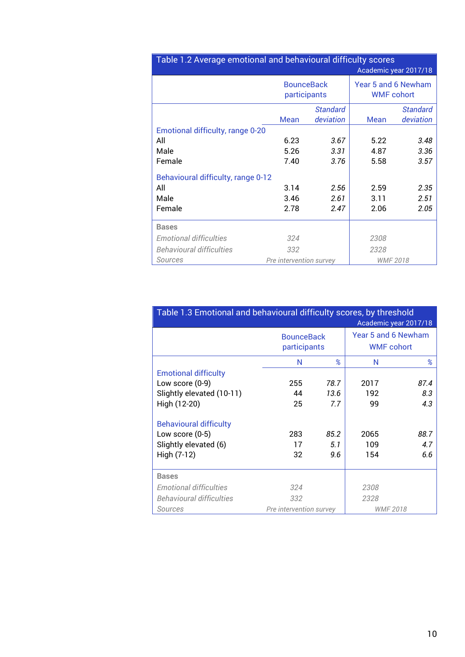| Table 1.2 Average emotional and behavioural difficulty scores |                                   |                 |                                          |                       |  |
|---------------------------------------------------------------|-----------------------------------|-----------------|------------------------------------------|-----------------------|--|
|                                                               |                                   |                 |                                          | Academic year 2017/18 |  |
|                                                               | <b>BounceBack</b><br>participants |                 | Year 5 and 6 Newham<br><b>WMF</b> cohort |                       |  |
|                                                               |                                   | <b>Standard</b> |                                          | <b>Standard</b>       |  |
|                                                               | Mean                              | deviation       | Mean                                     | deviation             |  |
| Emotional difficulty, range 0-20                              |                                   |                 |                                          |                       |  |
| All                                                           | 6.23                              | 3.67            | 5.22                                     | 3.48                  |  |
| Male                                                          | 5.26                              | 3.31            | 4.87                                     | 3.36                  |  |
| Female                                                        | 7.40                              | 3.76            | 5.58                                     | 3.57                  |  |
| Behavioural difficulty, range 0-12                            |                                   |                 |                                          |                       |  |
| All                                                           | 3.14                              | 2.56            | 2.59                                     | 2.35                  |  |
| Male                                                          | 3.46                              | 2.61            | 3.11                                     | 2.51                  |  |
| Female                                                        | 2.78                              | 2.47            | 2.06                                     | 2.05                  |  |
| <b>Bases</b>                                                  |                                   |                 |                                          |                       |  |
| <b>Emotional difficulties</b>                                 | 324                               |                 | 2308                                     |                       |  |
| <b>Behavioural difficulties</b>                               | 332                               |                 | 2328                                     |                       |  |
| Sources                                                       | Pre intervention survey           |                 | <b>WMF 2018</b>                          |                       |  |

| Table 1.3 Emotional and behavioural difficulty scores, by threshold<br>Academic year 2017/18 |                                   |                    |                                          |                    |
|----------------------------------------------------------------------------------------------|-----------------------------------|--------------------|------------------------------------------|--------------------|
|                                                                                              | <b>BounceBack</b><br>participants |                    | Year 5 and 6 Newham<br><b>WMF</b> cohort |                    |
|                                                                                              | N                                 | %                  | N                                        | %                  |
| <b>Emotional difficulty</b>                                                                  |                                   |                    |                                          |                    |
| Low score (0-9)                                                                              | 255                               | 78.7               | 2017                                     | 87.4               |
| Slightly elevated (10-11)                                                                    | 44                                | 13.6               | 192                                      | 8.3                |
| High (12-20)                                                                                 | 25                                | 7.7                | 99                                       | 4.3                |
| <b>Behavioural difficulty</b><br>Low score $(0-5)$<br>Slightly elevated (6)<br>High (7-12)   | 283<br>17<br>32                   | 85.2<br>5.1<br>9.6 | 2065<br>109<br>154                       | 88.7<br>4.7<br>6.6 |
| <b>Bases</b>                                                                                 |                                   |                    |                                          |                    |
| <b>Emotional difficulties</b>                                                                | 324                               |                    | 2308                                     |                    |
| <b>Behavioural difficulties</b>                                                              | 332                               |                    | 2328                                     |                    |
| Sources                                                                                      | Pre intervention survey           |                    | <b>WMF 2018</b>                          |                    |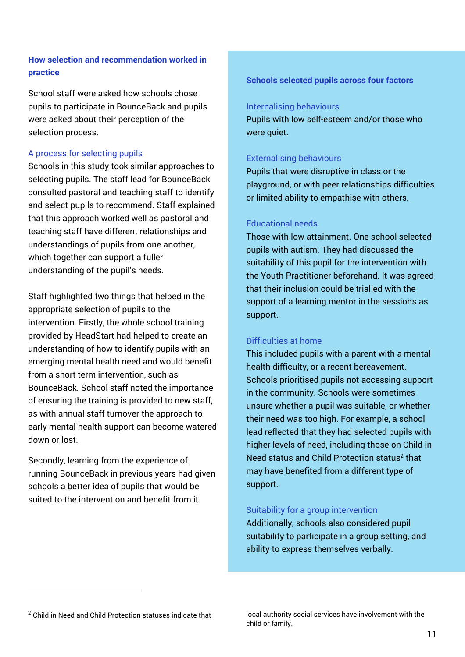#### **How selection and recommendation worked in practice**

School staff were asked how schools chose pupils to participate in BounceBack and pupils were asked about their perception of the selection process.

#### A process for selecting pupils

Schools in this study took similar approaches to selecting pupils. The staff lead for BounceBack consulted pastoral and teaching staff to identify and select pupils to recommend. Staff explained that this approach worked well as pastoral and teaching staff have different relationships and understandings of pupils from one another, which together can support a fuller understanding of the pupil's needs.

Staff highlighted two things that helped in the appropriate selection of pupils to the intervention. Firstly, the whole school training provided by HeadStart had helped to create an understanding of how to identify pupils with an emerging mental health need and would benefit from a short term intervention, such as BounceBack. School staff noted the importance of ensuring the training is provided to new staff, as with annual staff turnover the approach to early mental health support can become watered down or lost.

Secondly, learning from the experience of running BounceBack in previous years had given schools a better idea of pupils that would be suited to the intervention and benefit from it.

**Schools selected pupils across four factors**

#### Internalising behaviours

Pupils with low self-esteem and/or those who were quiet.

#### Externalising behaviours

Pupils that were disruptive in class or the playground, or with peer relationships difficulties or limited ability to empathise with others.

#### Educational needs

Those with low attainment. One school selected pupils with autism. They had discussed the suitability of this pupil for the intervention with the Youth Practitioner beforehand. It was agreed that their inclusion could be trialled with the support of a learning mentor in the sessions as support.

#### Difficulties at home

This included pupils with a parent with a mental health difficulty, or a recent bereavement. Schools prioritised pupils not accessing support in the community. Schools were sometimes unsure whether a pupil was suitable, or whether their need was too high. For example, a school lead reflected that they had selected pupils with higher levels of need, including those on Child in Need status and Child Protection status<sup>2</sup> that may have benefited from a different type of support.

#### Suitability for a group intervention

Additionally, schools also considered pupil suitability to participate in a group setting, and ability to express themselves verbally.

 $\overline{a}$ 

<sup>2</sup> Child in Need and Child Protection statuses indicate that

local authority social services have involvement with the child or family.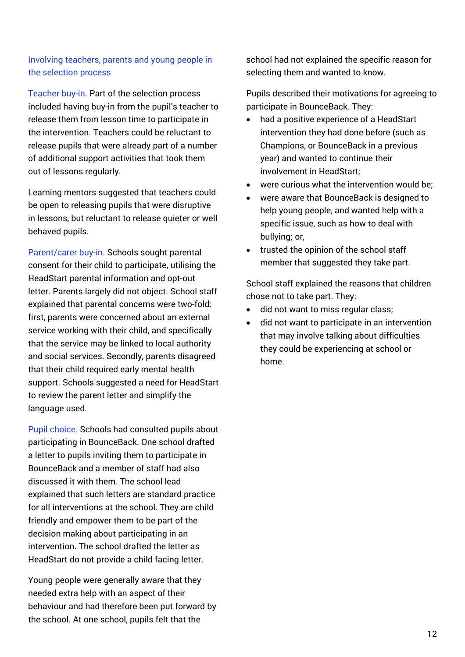#### Involving teachers, parents and young people in the selection process

Teacher buy-in. Part of the selection process included having buy-in from the pupil's teacher to release them from lesson time to participate in the intervention. Teachers could be reluctant to release pupils that were already part of a number of additional support activities that took them out of lessons regularly.

Learning mentors suggested that teachers could be open to releasing pupils that were disruptive in lessons, but reluctant to release quieter or well behaved pupils.

Parent/carer buy-in. Schools sought parental consent for their child to participate, utilising the HeadStart parental information and opt-out letter. Parents largely did not object. School staff explained that parental concerns were two-fold: first, parents were concerned about an external service working with their child, and specifically that the service may be linked to local authority and social services. Secondly, parents disagreed that their child required early mental health support. Schools suggested a need for HeadStart to review the parent letter and simplify the language used.

Pupil choice. Schools had consulted pupils about participating in BounceBack. One school drafted a letter to pupils inviting them to participate in BounceBack and a member of staff had also discussed it with them. The school lead explained that such letters are standard practice for all interventions at the school. They are child friendly and empower them to be part of the decision making about participating in an intervention. The school drafted the letter as HeadStart do not provide a child facing letter.

Young people were generally aware that they needed extra help with an aspect of their behaviour and had therefore been put forward by the school. At one school, pupils felt that the

school had not explained the specific reason for selecting them and wanted to know.

Pupils described their motivations for agreeing to participate in BounceBack. They:

- had a positive experience of a HeadStart intervention they had done before (such as Champions, or BounceBack in a previous year) and wanted to continue their involvement in HeadStart;
- were curious what the intervention would be;
- were aware that BounceBack is designed to help young people, and wanted help with a specific issue, such as how to deal with bullying; or,
- trusted the opinion of the school staff member that suggested they take part.

School staff explained the reasons that children chose not to take part. They:

- did not want to miss regular class;
- did not want to participate in an intervention that may involve talking about difficulties they could be experiencing at school or home.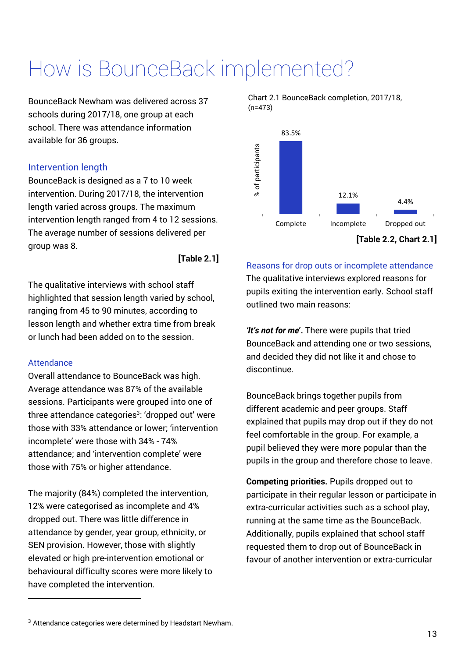# How is BounceBack implemented?

BounceBack Newham was delivered across 37 schools during 2017/18, one group at each school. There was attendance information available for 36 groups.

#### Intervention length

BounceBack is designed as a 7 to 10 week intervention. During 2017/18, the intervention length varied across groups. The maximum intervention length ranged from 4 to 12 sessions. The average number of sessions delivered per group was 8.

#### **[Table 2.1]**

The qualitative interviews with school staff highlighted that session length varied by school, ranging from 45 to 90 minutes, according to lesson length and whether extra time from break or lunch had been added on to the session.

#### Attendance

 $\overline{a}$ 

Overall attendance to BounceBack was high. Average attendance was 87% of the available sessions. Participants were grouped into one of three attendance categories<sup>3</sup>: 'dropped out' were those with 33% attendance or lower; 'intervention incomplete' were those with 34% - 74% attendance; and 'intervention complete' were those with 75% or higher attendance.

The majority (84%) completed the intervention, 12% were categorised as incomplete and 4% dropped out. There was little difference in attendance by gender, year group, ethnicity, or SEN provision. However, those with slightly elevated or high pre-intervention emotional or behavioural difficulty scores were more likely to have completed the intervention.

Chart 2.1 BounceBack completion, 2017/18, (n=473)



Reasons for drop outs or incomplete attendance The qualitative interviews explored reasons for pupils exiting the intervention early. School staff outlined two main reasons:

*'It's not for me***'.** There were pupils that tried BounceBack and attending one or two sessions, and decided they did not like it and chose to discontinue.

BounceBack brings together pupils from different academic and peer groups. Staff explained that pupils may drop out if they do not feel comfortable in the group. For example, a pupil believed they were more popular than the pupils in the group and therefore chose to leave.

**Competing priorities.** Pupils dropped out to participate in their regular lesson or participate in extra-curricular activities such as a school play, running at the same time as the BounceBack. Additionally, pupils explained that school staff requested them to drop out of BounceBack in favour of another intervention or extra-curricular

 $3$  Attendance categories were determined by Headstart Newham.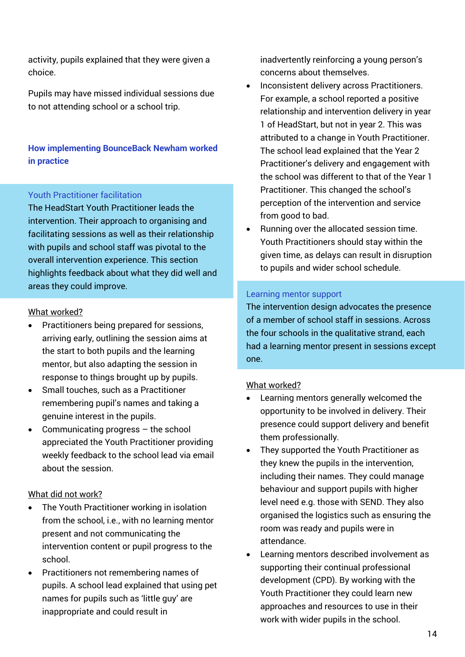activity, pupils explained that they were given a choice.

Pupils may have missed individual sessions due to not attending school or a school trip.

**How implementing BounceBack Newham worked in practice** 

#### Youth Practitioner facilitation

The HeadStart Youth Practitioner leads the intervention. Their approach to organising and facilitating sessions as well as their relationship with pupils and school staff was pivotal to the overall intervention experience. This section highlights feedback about what they did well and areas they could improve.

#### What worked?

- Practitioners being prepared for sessions, arriving early, outlining the session aims at the start to both pupils and the learning mentor, but also adapting the session in response to things brought up by pupils.
- Small touches, such as a Practitioner remembering pupil's names and taking a genuine interest in the pupils.
- Communicating progress the school appreciated the Youth Practitioner providing weekly feedback to the school lead via email about the session.

#### What did not work?

- The Youth Practitioner working in isolation from the school, i.e., with no learning mentor present and not communicating the intervention content or pupil progress to the school.
- Practitioners not remembering names of pupils. A school lead explained that using pet names for pupils such as 'little guy' are inappropriate and could result in

inadvertently reinforcing a young person's concerns about themselves.

- Inconsistent delivery across Practitioners. For example, a school reported a positive relationship and intervention delivery in year 1 of HeadStart, but not in year 2. This was attributed to a change in Youth Practitioner. The school lead explained that the Year 2 Practitioner's delivery and engagement with the school was different to that of the Year 1 Practitioner. This changed the school's perception of the intervention and service from good to bad.
- Running over the allocated session time. Youth Practitioners should stay within the given time, as delays can result in disruption to pupils and wider school schedule.

#### Learning mentor support

The intervention design advocates the presence of a member of school staff in sessions. Across the four schools in the qualitative strand, each had a learning mentor present in sessions except one.

#### What worked?

- Learning mentors generally welcomed the opportunity to be involved in delivery. Their presence could support delivery and benefit them professionally.
- They supported the Youth Practitioner as they knew the pupils in the intervention, including their names. They could manage behaviour and support pupils with higher level need e.g. those with SEND. They also organised the logistics such as ensuring the room was ready and pupils were in attendance.
- Learning mentors described involvement as supporting their continual professional development (CPD). By working with the Youth Practitioner they could learn new approaches and resources to use in their work with wider pupils in the school.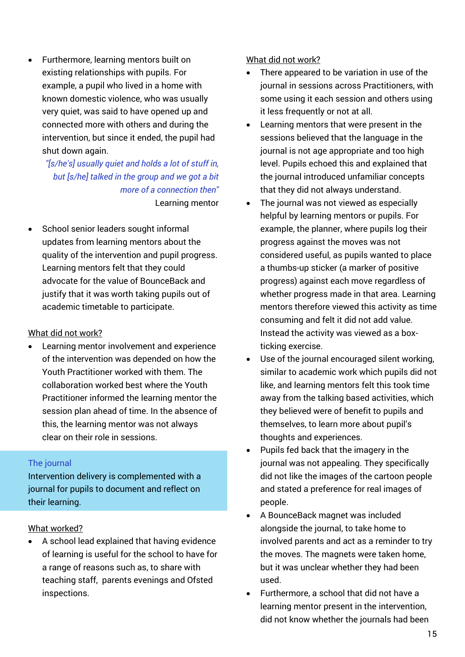Furthermore, learning mentors built on existing relationships with pupils. For example, a pupil who lived in a home with known domestic violence, who was usually very quiet, was said to have opened up and connected more with others and during the intervention, but since it ended, the pupil had shut down again.

*"[s/he's] usually quiet and holds a lot of stuff in, but [s/he] talked in the group and we got a bit more of a connection then"* Learning mentor

 School senior leaders sought informal updates from learning mentors about the quality of the intervention and pupil progress. Learning mentors felt that they could advocate for the value of BounceBack and justify that it was worth taking pupils out of academic timetable to participate.

#### What did not work?

 Learning mentor involvement and experience of the intervention was depended on how the Youth Practitioner worked with them. The collaboration worked best where the Youth Practitioner informed the learning mentor the session plan ahead of time. In the absence of this, the learning mentor was not always clear on their role in sessions.

#### The journal

Intervention delivery is complemented with a journal for pupils to document and reflect on their learning.

#### What worked?

 A school lead explained that having evidence of learning is useful for the school to have for a range of reasons such as, to share with teaching staff, parents evenings and Ofsted inspections.

#### What did not work?

- There appeared to be variation in use of the journal in sessions across Practitioners, with some using it each session and others using it less frequently or not at all.
- Learning mentors that were present in the sessions believed that the language in the journal is not age appropriate and too high level. Pupils echoed this and explained that the journal introduced unfamiliar concepts that they did not always understand.
- The journal was not viewed as especially helpful by learning mentors or pupils. For example, the planner, where pupils log their progress against the moves was not considered useful, as pupils wanted to place a thumbs-up sticker (a marker of positive progress) against each move regardless of whether progress made in that area. Learning mentors therefore viewed this activity as time consuming and felt it did not add value. Instead the activity was viewed as a boxticking exercise.
- Use of the journal encouraged silent working, similar to academic work which pupils did not like, and learning mentors felt this took time away from the talking based activities, which they believed were of benefit to pupils and themselves, to learn more about pupil's thoughts and experiences.
- Pupils fed back that the imagery in the journal was not appealing. They specifically did not like the images of the cartoon people and stated a preference for real images of people.
- A BounceBack magnet was included alongside the journal, to take home to involved parents and act as a reminder to try the moves. The magnets were taken home, but it was unclear whether they had been used.
- Furthermore, a school that did not have a learning mentor present in the intervention, did not know whether the journals had been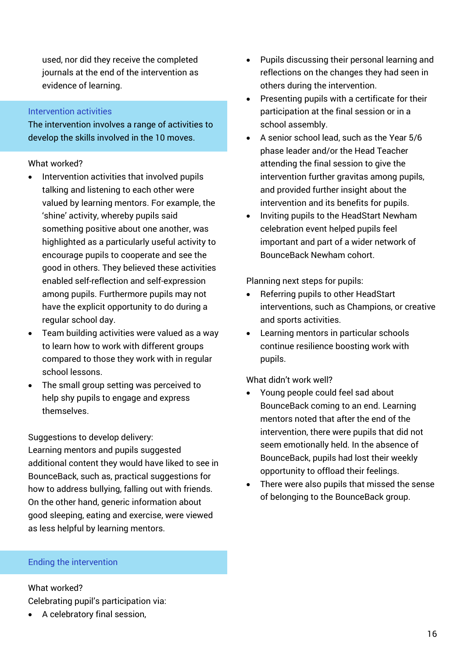used, nor did they receive the completed journals at the end of the intervention as evidence of learning.

#### Intervention activities

The intervention involves a range of activities to develop the skills involved in the 10 moves.

#### What worked?

- Intervention activities that involved pupils talking and listening to each other were valued by learning mentors. For example, the 'shine' activity, whereby pupils said something positive about one another, was highlighted as a particularly useful activity to encourage pupils to cooperate and see the good in others. They believed these activities enabled self-reflection and self-expression among pupils. Furthermore pupils may not have the explicit opportunity to do during a regular school day.
- Team building activities were valued as a way to learn how to work with different groups compared to those they work with in regular school lessons.
- The small group setting was perceived to help shy pupils to engage and express themselves.

#### Suggestions to develop delivery:

Learning mentors and pupils suggested additional content they would have liked to see in BounceBack, such as, practical suggestions for how to address bullying, falling out with friends. On the other hand, generic information about good sleeping, eating and exercise, were viewed as less helpful by learning mentors.

#### Ending the intervention

What worked? Celebrating pupil's participation via:

A celebratory final session,

- Pupils discussing their personal learning and reflections on the changes they had seen in others during the intervention.
- Presenting pupils with a certificate for their participation at the final session or in a school assembly.
- A senior school lead, such as the Year 5/6 phase leader and/or the Head Teacher attending the final session to give the intervention further gravitas among pupils, and provided further insight about the intervention and its benefits for pupils.
- Inviting pupils to the HeadStart Newham celebration event helped pupils feel important and part of a wider network of BounceBack Newham cohort.

Planning next steps for pupils:

- Referring pupils to other HeadStart interventions, such as Champions, or creative and sports activities.
- Learning mentors in particular schools continue resilience boosting work with pupils.

What didn't work well?

- Young people could feel sad about BounceBack coming to an end. Learning mentors noted that after the end of the intervention, there were pupils that did not seem emotionally held. In the absence of BounceBack, pupils had lost their weekly opportunity to offload their feelings.
- There were also pupils that missed the sense of belonging to the BounceBack group.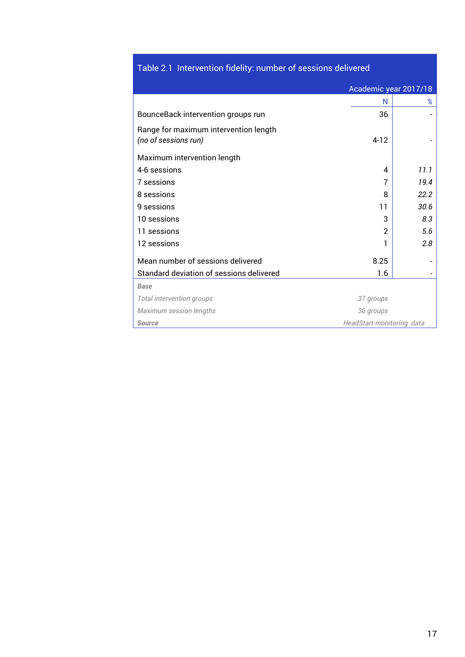## Table 2.1 Intervention fidelity: number of sessions delivered

|                                                               | Academic year 2017/18     |      |
|---------------------------------------------------------------|---------------------------|------|
|                                                               | N                         | %    |
| BounceBack intervention groups run                            | 36                        |      |
| Range for maximum intervention length<br>(no of sessions run) | $4 - 12$                  |      |
| Maximum intervention length                                   |                           |      |
| 4-6 sessions                                                  | 4                         | 11.1 |
| 7 sessions                                                    | 7                         | 19.4 |
| 8 sessions                                                    | 8                         | 22.2 |
| 9 sessions                                                    | 11                        | 30.6 |
| 10 sessions                                                   | 3                         | 8.3  |
| 11 sessions                                                   | $\overline{2}$            | 5.6  |
| 12 sessions                                                   | 1                         | 2.8  |
| Mean number of sessions delivered                             | 8.25                      |      |
| Standard deviation of sessions delivered                      | 1.6                       |      |
| <b>Base</b>                                                   |                           |      |
| Total intervention groups                                     | 37 groups                 |      |
| Maximum session lengths                                       | 36 groups                 |      |
| <b>Source</b>                                                 | HeadStart monitoring data |      |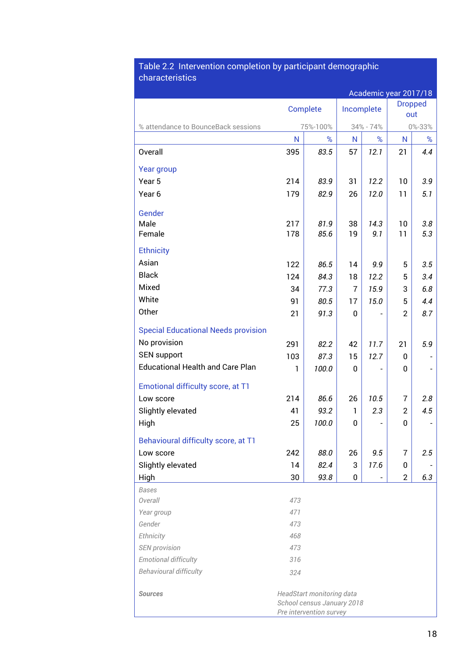#### Table 2.2 Intervention completion by participant demographic characteristics

|                                                  |          |                                                                                    |                |           | Academic year 2017/18 |        |
|--------------------------------------------------|----------|------------------------------------------------------------------------------------|----------------|-----------|-----------------------|--------|
|                                                  | Complete |                                                                                    | Incomplete     |           | <b>Dropped</b><br>out |        |
| % attendance to BounceBack sessions              |          | 75%-100%                                                                           |                | 34% - 74% |                       | 0%-33% |
|                                                  | N        | %                                                                                  | N              | %         | N                     | %      |
| Overall                                          | 395      | 83.5                                                                               | 57             | 12.1      | 21                    | 4.4    |
| Year group                                       |          |                                                                                    |                |           |                       |        |
| Year 5                                           | 214      | 83.9                                                                               | 31             | 12.2      | 10                    | 3.9    |
| Year <sub>6</sub>                                | 179      | 82.9                                                                               | 26             | 12.0      | 11                    | 5.1    |
| Gender                                           |          |                                                                                    |                |           |                       |        |
| Male                                             | 217      | 81.9                                                                               | 38             | 14.3      | 10                    | 3.8    |
| Female                                           | 178      | 85.6                                                                               | 19             | 9.1       | 11                    | 5.3    |
| <b>Ethnicity</b>                                 |          |                                                                                    |                |           |                       |        |
| Asian                                            | 122      | 86.5                                                                               | 14             | 9.9       | 5                     | 3.5    |
| <b>Black</b>                                     | 124      | 84.3                                                                               | 18             | 12.2      | 5                     | 3.4    |
| Mixed                                            | 34       | 77.3                                                                               | $\overline{7}$ | 15.9      | 3                     | 6.8    |
| White                                            | 91       | 80.5                                                                               | 17             | 15.0      | 5                     | 4.4    |
| Other                                            | 21       | 91.3                                                                               | 0              |           | $\overline{2}$        | 8.7    |
| <b>Special Educational Needs provision</b>       |          |                                                                                    |                |           |                       |        |
| No provision                                     | 291      | 82.2                                                                               | 42             | 11.7      | 21                    | 5.9    |
| <b>SEN support</b>                               | 103      | 87.3                                                                               | 15             | 12.7      | 0                     |        |
| <b>Educational Health and Care Plan</b>          | 1        | 100.0                                                                              | 0              |           | 0                     |        |
|                                                  |          |                                                                                    |                |           |                       |        |
| Emotional difficulty score, at T1<br>Low score   | 214      | 86.6                                                                               | 26             | 10.5      | 7                     | 2.8    |
| Slightly elevated                                | 41       | 93.2                                                                               | $\mathbf{1}$   | 2.3       | $\overline{2}$        | 4.5    |
| High                                             | 25       | 100.0                                                                              | 0              |           | 0                     |        |
|                                                  |          |                                                                                    |                |           |                       |        |
| Behavioural difficulty score, at T1<br>Low score | 242      | 88.0                                                                               | 26             | 9.5       | 7                     | 2.5    |
| Slightly elevated                                | 14       | 82.4                                                                               | 3              | 17.6      | 0                     |        |
| High                                             | 30       | 93.8                                                                               | 0              |           | $\overline{2}$        | 6.3    |
| <b>Bases</b>                                     |          |                                                                                    |                |           |                       |        |
| Overall                                          | 473      |                                                                                    |                |           |                       |        |
| Year group                                       | 471      |                                                                                    |                |           |                       |        |
| Gender                                           | 473      |                                                                                    |                |           |                       |        |
| Ethnicity                                        | 468      |                                                                                    |                |           |                       |        |
| <b>SEN</b> provision                             | 473      |                                                                                    |                |           |                       |        |
| <b>Emotional difficulty</b>                      | 316      |                                                                                    |                |           |                       |        |
| <b>Behavioural difficulty</b>                    | 324      |                                                                                    |                |           |                       |        |
| <b>Sources</b>                                   |          | HeadStart monitoring data<br>School census January 2018<br>Pre intervention survey |                |           |                       |        |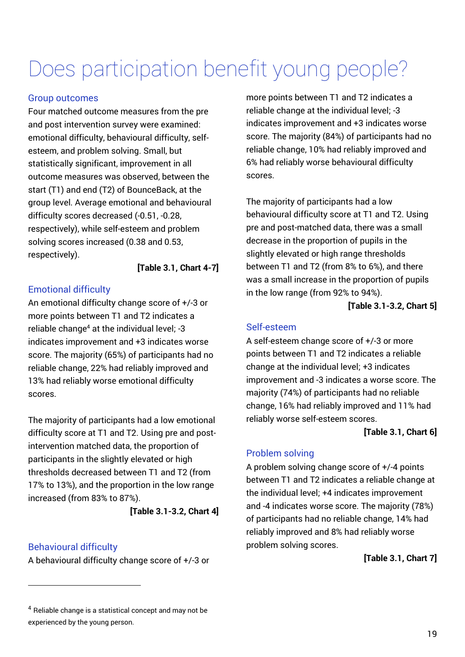# Does participation benefit young people?

#### Group outcomes

Four matched outcome measures from the pre and post intervention survey were examined: emotional difficulty, behavioural difficulty, selfesteem, and problem solving. Small, but statistically significant, improvement in all outcome measures was observed, between the start (T1) and end (T2) of BounceBack, at the group level. Average emotional and behavioural difficulty scores decreased (-0.51, -0.28, respectively), while self-esteem and problem solving scores increased (0.38 and 0.53, respectively).

**[Table 3.1, Chart 4-7]** 

#### Emotional difficulty

An emotional difficulty change score of +/-3 or more points between T1 and T2 indicates a reliable change<sup>4</sup> at the individual level; -3 indicates improvement and +3 indicates worse score. The majority (65%) of participants had no reliable change, 22% had reliably improved and 13% had reliably worse emotional difficulty scores.

The majority of participants had a low emotional difficulty score at T1 and T2. Using pre and postintervention matched data, the proportion of participants in the slightly elevated or high thresholds decreased between T1 and T2 (from 17% to 13%), and the proportion in the low range increased (from 83% to 87%).

**[Table 3.1-3.2, Chart 4]** 

#### Behavioural difficulty

l

A behavioural difficulty change score of +/-3 or

more points between T1 and T2 indicates a reliable change at the individual level; -3 indicates improvement and +3 indicates worse score. The majority (84%) of participants had no reliable change, 10% had reliably improved and 6% had reliably worse behavioural difficulty scores.

The majority of participants had a low behavioural difficulty score at T1 and T2. Using pre and post-matched data, there was a small decrease in the proportion of pupils in the slightly elevated or high range thresholds between T1 and T2 (from 8% to 6%), and there was a small increase in the proportion of pupils in the low range (from 92% to 94%).

**[Table 3.1-3.2, Chart 5]** 

#### Self-esteem

A self-esteem change score of +/-3 or more points between T1 and T2 indicates a reliable change at the individual level; +3 indicates improvement and -3 indicates a worse score. The majority (74%) of participants had no reliable change, 16% had reliably improved and 11% had reliably worse self-esteem scores.

#### **[Table 3.1, Chart 6]**

#### Problem solving

A problem solving change score of +/-4 points between T1 and T2 indicates a reliable change at the individual level; +4 indicates improvement and -4 indicates worse score. The majority (78%) of participants had no reliable change, 14% had reliably improved and 8% had reliably worse problem solving scores.

**[Table 3.1, Chart 7]** 

<sup>4</sup> Reliable change is a statistical concept and may not be experienced by the young person.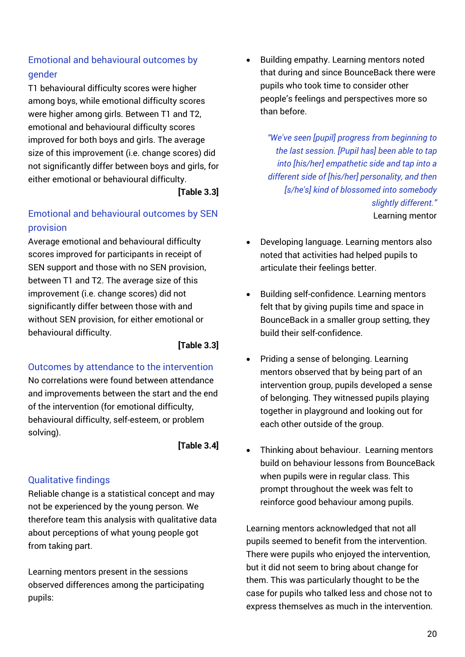### Emotional and behavioural outcomes by gender

T1 behavioural difficulty scores were higher among boys, while emotional difficulty scores were higher among girls. Between T1 and T2, emotional and behavioural difficulty scores improved for both boys and girls. The average size of this improvement (i.e. change scores) did not significantly differ between boys and girls, for either emotional or behavioural difficulty.

**[Table 3.3]** 

### Emotional and behavioural outcomes by SEN provision

Average emotional and behavioural difficulty scores improved for participants in receipt of SEN support and those with no SEN provision, between T1 and T2. The average size of this improvement (i.e. change scores) did not significantly differ between those with and without SEN provision, for either emotional or behavioural difficulty.

**[Table 3.3]** 

### Outcomes by attendance to the intervention

No correlations were found between attendance and improvements between the start and the end of the intervention (for emotional difficulty, behavioural difficulty, self-esteem, or problem solving).

**[Table 3.4]** 

### Qualitative findings

Reliable change is a statistical concept and may not be experienced by the young person. We therefore team this analysis with qualitative data about perceptions of what young people got from taking part.

Learning mentors present in the sessions observed differences among the participating pupils:

 Building empathy. Learning mentors noted that during and since BounceBack there were pupils who took time to consider other people's feelings and perspectives more so than before.

> *"We've seen [pupil] progress from beginning to the last session. [Pupil has] been able to tap into [his/her] empathetic side and tap into a different side of [his/her] personality, and then [s/he's] kind of blossomed into somebody slightly different."* Learning mentor

- Developing language. Learning mentors also noted that activities had helped pupils to articulate their feelings better.
- Building self-confidence. Learning mentors felt that by giving pupils time and space in BounceBack in a smaller group setting, they build their self-confidence.
- Priding a sense of belonging. Learning mentors observed that by being part of an intervention group, pupils developed a sense of belonging. They witnessed pupils playing together in playground and looking out for each other outside of the group.
- Thinking about behaviour. Learning mentors build on behaviour lessons from BounceBack when pupils were in regular class. This prompt throughout the week was felt to reinforce good behaviour among pupils.

Learning mentors acknowledged that not all pupils seemed to benefit from the intervention. There were pupils who enjoyed the intervention, but it did not seem to bring about change for them. This was particularly thought to be the case for pupils who talked less and chose not to express themselves as much in the intervention.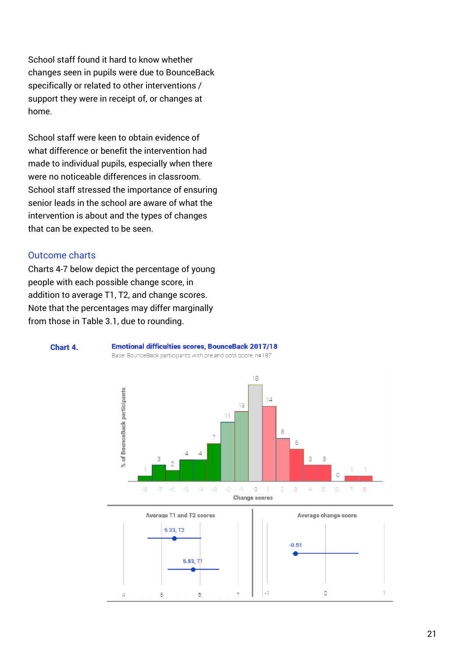School staff found it hard to know whether changes seen in pupils were due to BounceBack specifically or related to other interventions / support they were in receipt of, or changes at home.

School staff were keen to obtain evidence of what difference or benefit the intervention had made to individual pupils, especially when there were no noticeable differences in classroom. School staff stressed the importance of ensuring senior leads in the school are aware of what the intervention is about and the types of changes that can be expected to be seen.

#### Outcome charts

Charts 4-7 below depict the percentage of young people with each possible change score, in addition to average T1, T2, and change scores. Note that the percentages may differ marginally from those in Table 3.1, due to rounding.



#### **Emotional difficulties scores, BounceBack 2017/18**

Base: BounceBack participants with pre and post score, n=187



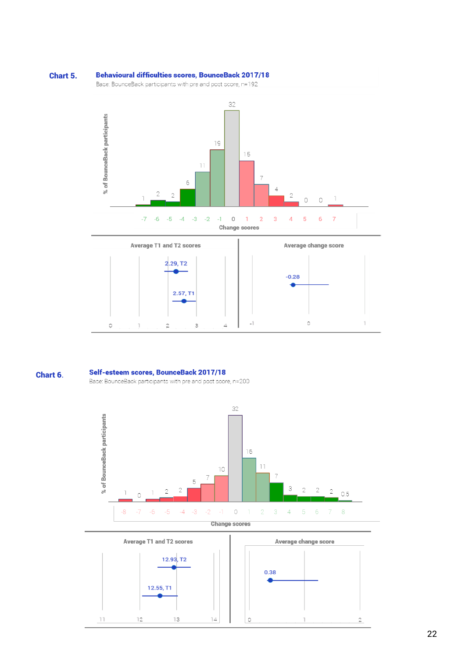#### **Behavioural difficulties scores, BounceBack 2017/18** Chart 5.

Base: BounceBack participants with pre and post score, n=192





#### Self-esteem scores, BounceBack 2017/18 Chart 6.

Base: BounceBack participants with pre and post score, n=200



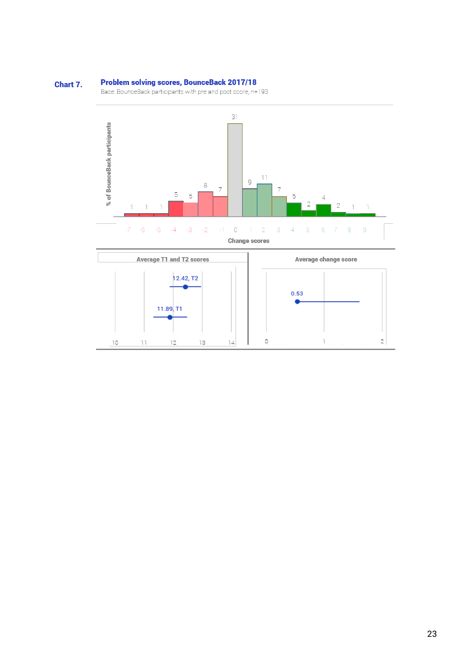#### **Problem solving scores, BounceBack 2017/18** Chart 7.

Base: BounceBack participants with pre and post score, n=193



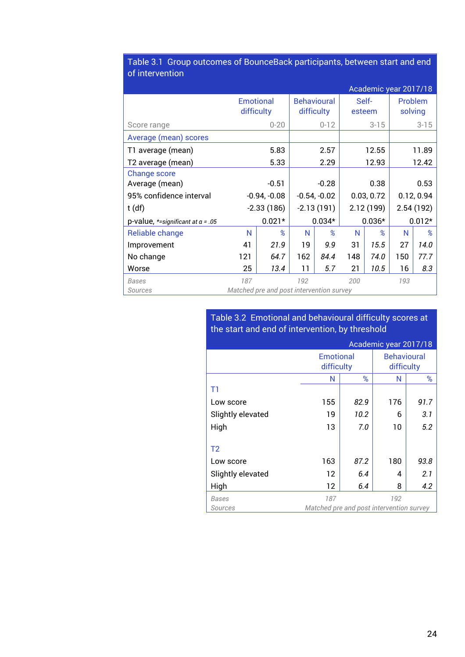|                                     |                                          |                |                                  |                |      | Academic year 2017/18 |       |                    |
|-------------------------------------|------------------------------------------|----------------|----------------------------------|----------------|------|-----------------------|-------|--------------------|
|                                     | <b>Emotional</b><br>difficulty           |                | <b>Behavioural</b><br>difficulty |                |      | Self-<br>esteem       |       | Problem<br>solving |
| Score range                         |                                          | $0 - 20$       |                                  | $0 - 12$       |      | $3 - 15$              |       | $3 - 15$           |
| Average (mean) scores               |                                          |                |                                  |                |      |                       |       |                    |
| T1 average (mean)                   |                                          | 5.83           |                                  | 2.57           |      | 12.55                 | 11.89 |                    |
| T2 average (mean)                   |                                          | 5.33           |                                  | 2.29           |      | 12.93                 |       | 12.42              |
| <b>Change score</b>                 |                                          |                |                                  |                |      |                       |       |                    |
| Average (mean)                      |                                          | $-0.51$        | $-0.28$                          |                | 0.38 |                       | 0.53  |                    |
| 95% confidence interval             |                                          | $-0.94, -0.08$ |                                  | $-0.54, -0.02$ |      | 0.03, 0.72            |       | 0.12, 0.94         |
| $t$ (df)                            |                                          | $-2.33(186)$   |                                  | $-2.13(191)$   |      | 2.12(199)             |       | 2.54(192)          |
| p-value, *=significant at $a = .05$ |                                          | $0.021*$       |                                  | $0.034*$       |      | $0.036*$              |       | $0.012*$           |
| Reliable change                     | N                                        | %              | N                                | %              | N    | $\%$                  | N     | %                  |
| Improvement                         | 41                                       | 21.9           | 19                               | 9.9            | 31   | 15.5                  | 27    | 14.0               |
| No change                           | 121                                      | 64.7           | 162                              | 84.4           | 148  | 74.0                  | 150   | 77.7               |
| Worse                               | 25                                       | 13.4           | 11                               | 5.7            | 21   | 10.5                  | 16    | 8.3                |
| <b>Bases</b>                        | 187                                      |                | 192                              |                | 200  |                       | 193   |                    |
| Sources                             | Matched pre and post intervention survey |                |                                  |                |      |                       |       |                    |

#### Table 3.1 Group outcomes of BounceBack participants, between start and end of intervention

#### Table 3.2 Emotional and behavioural difficulty scores at the start and end of intervention, by threshold

|                   |                                          |                                | Academic year 2017/18 |                                  |
|-------------------|------------------------------------------|--------------------------------|-----------------------|----------------------------------|
|                   |                                          | <b>Emotional</b><br>difficulty |                       | <b>Behavioural</b><br>difficulty |
|                   | N                                        | %                              | N                     | %                                |
| T1                |                                          |                                |                       |                                  |
| Low score         | 155                                      | 82.9                           | 176                   | 91.7                             |
| Slightly elevated | 19                                       | 10.2                           | 6                     | 3.1                              |
| High              | 13                                       | 7.0                            | 10                    | 5.2                              |
|                   |                                          |                                |                       |                                  |
| T <sub>2</sub>    |                                          |                                |                       |                                  |
| Low score         | 163                                      | 87.2                           | 180                   | 93.8                             |
| Slightly elevated | 12                                       | 6.4                            | 4                     | 2.1                              |
| High              | 12                                       | 6.4                            | 8                     | 4.2                              |
| Bases             | 187                                      |                                | 192                   |                                  |
| Sources           | Matched pre and post intervention survey |                                |                       |                                  |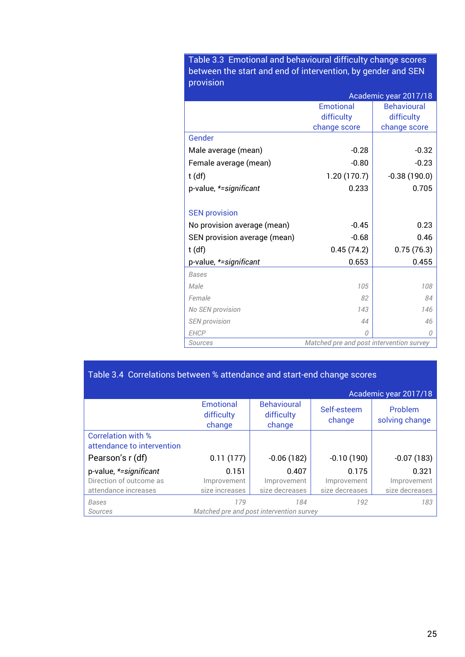Table 3.3 Emotional and behavioural difficulty change scores between the start and end of intervention, by gender and SEN provision

|                              | Academic year 2017/18                    |                    |  |
|------------------------------|------------------------------------------|--------------------|--|
|                              | Emotional                                | <b>Behavioural</b> |  |
|                              | difficulty                               | difficulty         |  |
|                              | change score                             | change score       |  |
| Gender                       |                                          |                    |  |
| Male average (mean)          | $-0.28$                                  | $-0.32$            |  |
| Female average (mean)        | $-0.80$                                  | $-0.23$            |  |
| $t$ (df)                     | 1.20(170.7)                              | $-0.38(190.0)$     |  |
| p-value, *= significant      | 0.233                                    | 0.705              |  |
|                              |                                          |                    |  |
| <b>SEN provision</b>         |                                          |                    |  |
| No provision average (mean)  | $-0.45$                                  | 0.23               |  |
| SEN provision average (mean) | $-0.68$                                  | 0.46               |  |
| $t$ (df)                     | 0.45(74.2)                               | 0.75(76.3)         |  |
| p-value, *= significant      | 0.653                                    | 0.455              |  |
| <b>Bases</b>                 |                                          |                    |  |
| Male                         | 105                                      | 108                |  |
| Female                       | 82                                       | 84                 |  |
| No SEN provision             | 143                                      | 146                |  |
| <b>SEN</b> provision         | 44                                       | 46                 |  |
| <b>EHCP</b>                  | $\Omega$                                 | 0                  |  |
| Sources                      | Matched pre and post intervention survey |                    |  |

## Table 3.4 Correlations between % attendance and start-end change scores

|                                                         |                                          |                                            |                       | Academic year 2017/18     |
|---------------------------------------------------------|------------------------------------------|--------------------------------------------|-----------------------|---------------------------|
|                                                         | <b>Emotional</b><br>difficulty<br>change | <b>Behavioural</b><br>difficulty<br>change | Self-esteem<br>change | Problem<br>solving change |
| <b>Correlation with %</b><br>attendance to intervention |                                          |                                            |                       |                           |
| Pearson's r (df)                                        | 0.11(177)                                | $-0.06(182)$                               | $-0.10(190)$          | $-0.07(183)$              |
| p-value, *=significant                                  | 0.151                                    | 0.407                                      | 0.175                 | 0.321                     |
| Direction of outcome as                                 | Improvement                              | Improvement                                | Improvement           | Improvement               |
| attendance increases                                    | size increases                           | size decreases                             | size decreases        | size decreases            |
| <b>Bases</b>                                            | 179                                      | 184                                        | 192                   | 183                       |
| Sources                                                 | Matched pre and post intervention survey |                                            |                       |                           |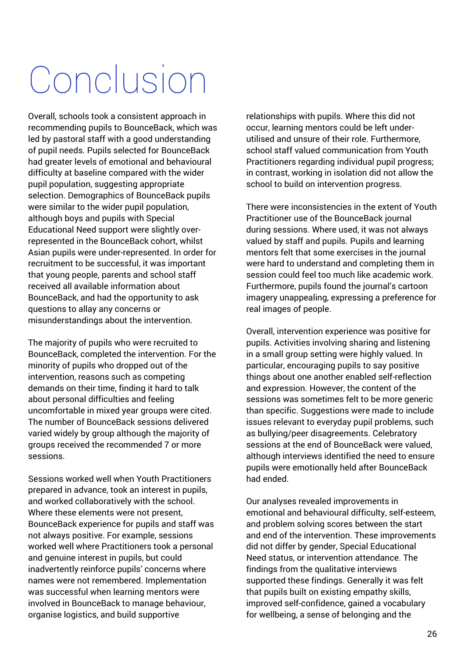# Conclusion

Overall, schools took a consistent approach in recommending pupils to BounceBack, which was led by pastoral staff with a good understanding of pupil needs. Pupils selected for BounceBack had greater levels of emotional and behavioural difficulty at baseline compared with the wider pupil population, suggesting appropriate selection. Demographics of BounceBack pupils were similar to the wider pupil population, although boys and pupils with Special Educational Need support were slightly overrepresented in the BounceBack cohort, whilst Asian pupils were under-represented. In order for recruitment to be successful, it was important that young people, parents and school staff received all available information about BounceBack, and had the opportunity to ask questions to allay any concerns or misunderstandings about the intervention.

The majority of pupils who were recruited to BounceBack, completed the intervention. For the minority of pupils who dropped out of the intervention, reasons such as competing demands on their time, finding it hard to talk about personal difficulties and feeling uncomfortable in mixed year groups were cited. The number of BounceBack sessions delivered varied widely by group although the majority of groups received the recommended 7 or more sessions.

Sessions worked well when Youth Practitioners prepared in advance, took an interest in pupils, and worked collaboratively with the school. Where these elements were not present, BounceBack experience for pupils and staff was not always positive. For example, sessions worked well where Practitioners took a personal and genuine interest in pupils, but could inadvertently reinforce pupils' concerns where names were not remembered. Implementation was successful when learning mentors were involved in BounceBack to manage behaviour, organise logistics, and build supportive

relationships with pupils. Where this did not occur, learning mentors could be left underutilised and unsure of their role. Furthermore, school staff valued communication from Youth Practitioners regarding individual pupil progress; in contrast, working in isolation did not allow the school to build on intervention progress.

There were inconsistencies in the extent of Youth Practitioner use of the BounceBack journal during sessions. Where used, it was not always valued by staff and pupils. Pupils and learning mentors felt that some exercises in the journal were hard to understand and completing them in session could feel too much like academic work. Furthermore, pupils found the journal's cartoon imagery unappealing, expressing a preference for real images of people.

Overall, intervention experience was positive for pupils. Activities involving sharing and listening in a small group setting were highly valued. In particular, encouraging pupils to say positive things about one another enabled self-reflection and expression. However, the content of the sessions was sometimes felt to be more generic than specific. Suggestions were made to include issues relevant to everyday pupil problems, such as bullying/peer disagreements. Celebratory sessions at the end of BounceBack were valued, although interviews identified the need to ensure pupils were emotionally held after BounceBack had ended.

Our analyses revealed improvements in emotional and behavioural difficulty, self-esteem, and problem solving scores between the start and end of the intervention. These improvements did not differ by gender, Special Educational Need status, or intervention attendance. The findings from the qualitative interviews supported these findings. Generally it was felt that pupils built on existing empathy skills, improved self-confidence, gained a vocabulary for wellbeing, a sense of belonging and the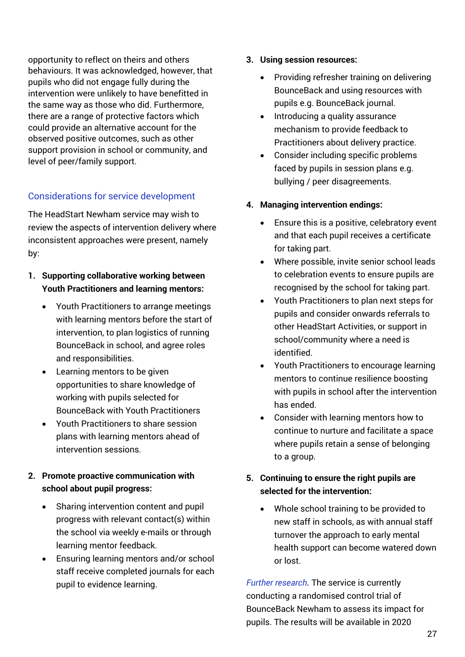opportunity to reflect on theirs and others behaviours. It was acknowledged, however, that pupils who did not engage fully during the intervention were unlikely to have benefitted in the same way as those who did. Furthermore, there are a range of protective factors which could provide an alternative account for the observed positive outcomes, such as other support provision in school or community, and level of peer/family support.

#### Considerations for service development

The HeadStart Newham service may wish to review the aspects of intervention delivery where inconsistent approaches were present, namely by:

- **1. Supporting collaborative working between Youth Practitioners and learning mentors:** 
	- Youth Practitioners to arrange meetings with learning mentors before the start of intervention, to plan logistics of running BounceBack in school, and agree roles and responsibilities.
	- Learning mentors to be given opportunities to share knowledge of working with pupils selected for BounceBack with Youth Practitioners
	- Youth Practitioners to share session plans with learning mentors ahead of intervention sessions.

#### **2. Promote proactive communication with school about pupil progress:**

- Sharing intervention content and pupil progress with relevant contact(s) within the school via weekly e-mails or through learning mentor feedback.
- Ensuring learning mentors and/or school staff receive completed journals for each pupil to evidence learning.
- **3. Using session resources:**
	- Providing refresher training on delivering BounceBack and using resources with pupils e.g. BounceBack journal.
	- Introducing a quality assurance mechanism to provide feedback to Practitioners about delivery practice.
	- Consider including specific problems faced by pupils in session plans e.g. bullying / peer disagreements.

#### **4. Managing intervention endings:**

- Ensure this is a positive, celebratory event and that each pupil receives a certificate for taking part.
- Where possible, invite senior school leads to celebration events to ensure pupils are recognised by the school for taking part.
- Youth Practitioners to plan next steps for pupils and consider onwards referrals to other HeadStart Activities, or support in school/community where a need is identified.
- Youth Practitioners to encourage learning mentors to continue resilience boosting with pupils in school after the intervention has ended.
- Consider with learning mentors how to continue to nurture and facilitate a space where pupils retain a sense of belonging to a group.

#### **5. Continuing to ensure the right pupils are selected for the intervention:**

 Whole school training to be provided to new staff in schools, as with annual staff turnover the approach to early mental health support can become watered down or lost.

*Further research.* The service is currently conducting a randomised control trial of BounceBack Newham to assess its impact for pupils. The results will be available in 2020